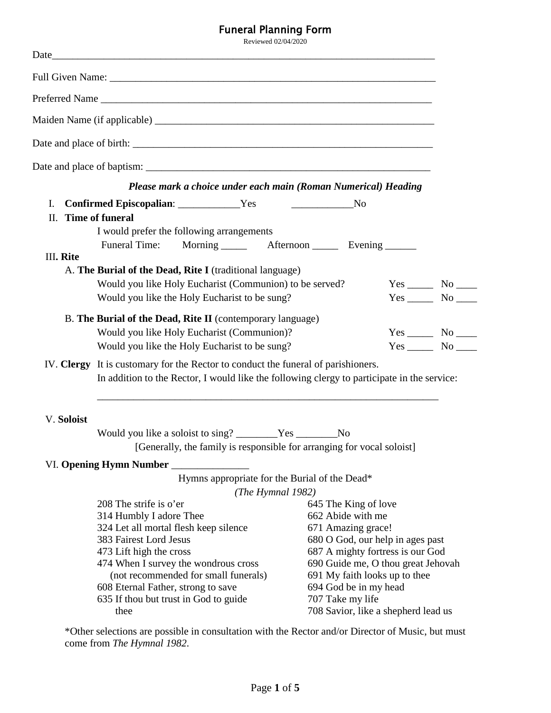## Funeral Planning Form

Reviewed 02/04/2020 Date\_\_\_\_\_\_\_\_\_\_\_\_\_\_\_\_\_\_\_\_\_\_\_\_\_\_\_\_\_\_\_\_\_\_\_\_\_\_\_\_\_\_\_\_\_\_\_\_\_\_\_\_\_\_\_\_\_\_\_\_\_\_\_\_\_\_\_\_\_\_\_\_\_\_ Full Given Name: \_\_\_\_\_\_\_\_\_\_\_\_\_\_\_\_\_\_\_\_\_\_\_\_\_\_\_\_\_\_\_\_\_\_\_\_\_\_\_\_\_\_\_\_\_\_\_\_\_\_\_\_\_\_\_\_\_\_\_\_\_\_\_ Preferred Name \_\_\_\_\_\_\_\_\_\_\_\_\_\_\_\_\_\_\_\_\_\_\_\_\_\_\_\_\_\_\_\_\_\_\_\_\_\_\_\_\_\_\_\_\_\_\_\_\_\_\_\_\_\_\_\_\_\_\_\_\_\_\_\_ Maiden Name (if applicable) \_\_\_\_\_\_\_\_\_\_\_\_\_\_\_\_\_\_\_\_\_\_\_\_\_\_\_\_\_\_\_\_\_\_\_\_\_\_\_\_\_\_\_\_\_\_\_\_\_\_\_\_\_\_ Date and place of birth: \_\_\_\_\_\_\_\_\_\_\_\_\_\_\_\_\_\_\_\_\_\_\_\_\_\_\_\_\_\_\_\_\_\_\_\_\_\_\_\_\_\_\_\_\_\_\_\_\_\_\_\_\_\_\_\_\_\_ Date and place of baptism: \_\_\_\_\_\_\_\_\_\_\_\_\_\_\_\_\_\_\_\_\_\_\_\_\_\_\_\_\_\_\_\_\_\_\_\_\_\_\_\_\_\_\_\_\_\_\_\_\_\_\_\_\_\_\_ *Please mark a choice under each main (Roman Numerical) Heading* I. **Confirmed Episcopalian**: \_\_\_\_\_\_\_\_\_\_\_\_Yes \_\_\_\_\_\_\_\_\_\_\_\_No II. **Time of funeral** I would prefer the following arrangements Funeral Time: Morning \_\_\_\_\_\_ Afternoon \_\_\_\_\_ Evening \_\_\_\_\_\_ III**. Rite** A. **The Burial of the Dead, Rite I** (traditional language) Would you like Holy Eucharist (Communion) to be served? Yes \_\_\_\_\_\_ No \_\_\_\_\_ Would you like the Holy Eucharist to be sung? Yes \_\_\_\_\_\_ No \_\_\_\_\_ B. **The Burial of the Dead, Rite II** (contemporary language) Would you like Holy Eucharist (Communion)? Yes \_\_\_\_\_ No \_\_\_\_ Would you like the Holy Eucharist to be sung? Yes \_\_\_\_\_\_ No \_\_\_\_\_ IV. **Clergy** It is customary for the Rector to conduct the funeral of parishioners. In addition to the Rector, I would like the following clergy to participate in the service: \_\_\_\_\_\_\_\_\_\_\_\_\_\_\_\_\_\_\_\_\_\_\_\_\_\_\_\_\_\_\_\_\_\_\_\_\_\_\_\_\_\_\_\_\_\_\_\_\_\_\_\_\_\_\_\_\_\_\_\_\_\_\_\_\_\_ V. **Soloist** Would you like a soloist to sing? \_\_\_\_\_\_\_\_Yes \_\_\_\_\_\_\_\_No [Generally, the family is responsible for arranging for vocal soloist] VI. **Opening Hymn Number** \_\_\_\_\_\_\_\_\_\_\_\_\_\_\_ Hymns appropriate for the Burial of the Dead\* *(The Hymnal 1982)* 208 The strife is o'er 314 Humbly I adore Thee 324 Let all mortal flesh keep silence 383 Fairest Lord Jesus 473 Lift high the cross 474 When I survey the wondrous cross (not recommended for small funerals) 608 Eternal Father, strong to save 635 If thou but trust in God to guide 645 The King of love 662 Abide with me 671 Amazing grace! 680 O God, our help in ages past 687 A mighty fortress is our God 690 Guide me, O thou great Jehovah 691 My faith looks up to thee 694 God be in my head 707 Take my life

\*Other selections are possible in consultation with the Rector and/or Director of Music, but must come from *The Hymnal 1982*.

thee

708 Savior, like a shepherd lead us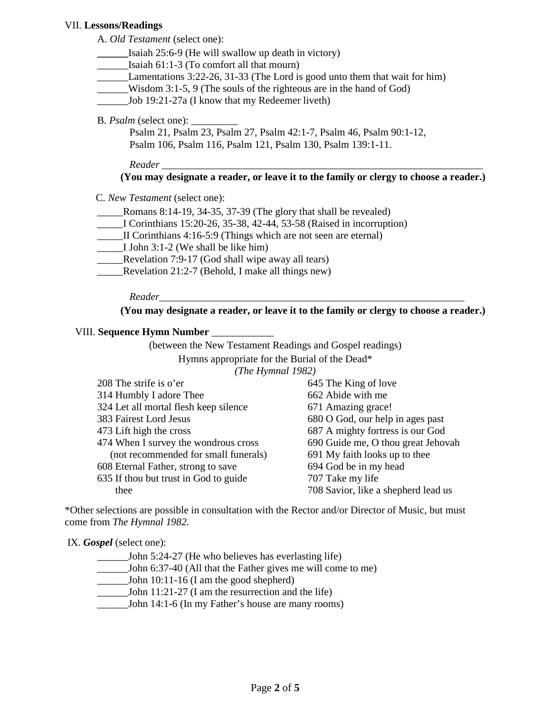#### VII. **Lessons/Readings**

A. *Old Testament* (select one):

- **\_\_\_\_\_\_**Isaiah 25:6-9 (He will swallow up death in victory)
- Isaiah  $61:1-3$  (To comfort all that mourn)
- \_\_\_\_\_\_Lamentations 3:22-26, 31-33 (The Lord is good unto them that wait for him)
- \_\_\_\_\_\_Wisdom 3:1-5, 9 (The souls of the righteous are in the hand of God)
- \_\_\_\_\_\_Job 19:21-27a (I know that my Redeemer liveth)
- B. *Psalm* (select one):

Psalm 21, Psalm 23, Psalm 27, Psalm 42:1-7, Psalm 46, Psalm 90:1-12, Psalm 106, Psalm 116, Psalm 121, Psalm 130, Psalm 139:1-11.

*Reader* \_\_\_\_\_\_\_\_\_\_\_\_\_\_\_\_\_\_\_\_\_\_\_\_\_\_\_\_\_\_\_\_\_\_\_\_\_\_\_\_\_\_\_\_\_\_\_\_\_\_\_\_\_\_\_\_\_\_\_\_\_\_

## **(You may designate a reader, or leave it to the family or clergy to choose a reader.)**

C. *New Testament* (select one):

- \_\_\_\_\_Romans 8:14-19, 34-35, 37-39 (The glory that shall be revealed)
- \_\_\_\_\_I Corinthians 15:20-26, 35-38, 42-44, 53-58 (Raised in incorruption)
- \_\_\_\_\_II Corinthians 4:16-5:9 (Things which are not seen are eternal)
- \_\_\_\_\_I John 3:1-2 (We shall be like him)
- \_\_\_\_\_Revelation 7:9-17 (God shall wipe away all tears)
- \_\_\_\_\_Revelation 21:2-7 (Behold, I make all things new)

 *Reader*\_\_\_\_\_\_\_\_\_\_\_\_\_\_\_\_\_\_\_\_\_\_\_\_\_\_\_\_\_\_\_\_\_\_\_\_\_\_\_\_\_\_\_\_\_\_\_\_\_\_\_\_\_\_\_\_\_\_\_

**(You may designate a reader, or leave it to the family or clergy to choose a reader.)**

#### VIII. **Sequence Hymn Number** \_\_\_\_\_\_\_\_\_\_\_\_

(between the New Testament Readings and Gospel readings) Hymns appropriate for the Burial of the Dead\* *(The Hymnal 1982)*  $208$  The stripe is  $\sqrt{ }$ 

| 208 The strife is o'er                | 645 The King of love                |
|---------------------------------------|-------------------------------------|
| 314 Humbly I adore Thee               | 662 Abide with me                   |
| 324 Let all mortal flesh keep silence | 671 Amazing grace!                  |
| 383 Fairest Lord Jesus                | 680 O God, our help in ages past    |
| 473 Lift high the cross               | 687 A mighty fortress is our God    |
| 474 When I survey the wondrous cross  | 690 Guide me, O thou great Jehovah  |
| (not recommended for small funerals)  | 691 My faith looks up to thee       |
| 608 Eternal Father, strong to save    | 694 God be in my head               |
| 635 If thou but trust in God to guide | 707 Take my life                    |
| thee                                  | 708 Savior, like a shepherd lead us |
|                                       |                                     |

\*Other selections are possible in consultation with the Rector and/or Director of Music, but must come from *The Hymnal 1982*.

IX. *Gospel* (select one):

- \_\_\_\_\_\_John 5:24-27 (He who believes has everlasting life)
- \_\_\_\_\_\_John 6:37-40 (All that the Father gives me will come to me)
- \_\_\_\_\_\_John 10:11-16 (I am the good shepherd)
- \_\_\_\_\_\_John 11:21-27 (I am the resurrection and the life)
- \_\_\_\_\_\_John 14:1-6 (In my Father's house are many rooms)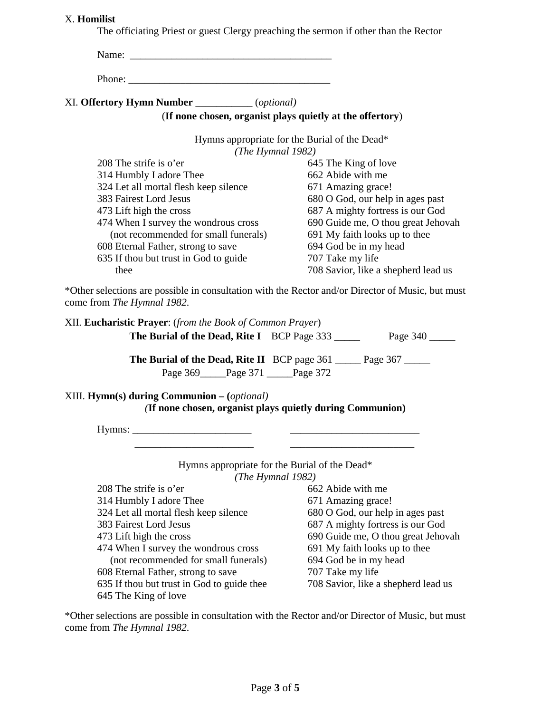#### X. **Homilist**

The officiating Priest or guest Clergy preaching the sermon if other than the Rector

| Name:                                           |                                                           |
|-------------------------------------------------|-----------------------------------------------------------|
| Phone:                                          |                                                           |
| XI. Offertory Hymn Number ___________(optional) |                                                           |
|                                                 | (If none chosen, organist plays quietly at the offertory) |
|                                                 | Hymns appropriate for the Burial of the Dead*             |
| (The Hymnal 1982)                               |                                                           |
| $208$ The strife is o'er                        | 645 The King of love                                      |
| 314 Humbly I adore Thee                         | 662 Abide with me                                         |
| 324 Let all mortal flesh keep silence           | 671 Amazing grace!                                        |
| 383 Fairest Lord Jesus                          | 680 O God, our help in ages past                          |
| 473 Lift high the cross                         | 687 A mighty fortress is our God                          |
| 474 When I survey the wondrous cross            | 690 Guide me, O thou great Jehovah                        |
| (not recommended for small funerals)            | 691 My faith looks up to thee                             |
| 608 Eternal Father, strong to save              | 694 God be in my head                                     |
| 635 If thou but trust in God to guide           | 707 Take my life                                          |
| thee                                            | 708 Savior, like a shepherd lead us                       |
|                                                 |                                                           |

\*Other selections are possible in consultation with the Rector and/or Director of Music, but must come from *The Hymnal 1982*.

| XII. Eucharistic Prayer: (from the Book of Common Prayer) |                                                                          |
|-----------------------------------------------------------|--------------------------------------------------------------------------|
| <b>The Burial of the Dead, Rite I</b> BCP Page 333        | Page 340                                                                 |
|                                                           | <b>The Burial of the Dead, Rite II</b> BCP page 361 _____ Page 367 _____ |
| Page 369 Page 371 Page 372                                |                                                                          |
| XIII. $Hymn(s)$ during Communion $-(\text{optional})$     |                                                                          |
|                                                           | (If none chosen, organist plays quietly during Communion)                |
|                                                           |                                                                          |
|                                                           |                                                                          |
|                                                           | Hymns appropriate for the Burial of the Dead*                            |
|                                                           | (The Hymnal 1982)                                                        |
| 208 The strife is $o'$ er                                 | 662 Abide with me                                                        |
| 314 Humbly I adore Thee                                   | 671 Amazing grace!                                                       |
| 324 Let all mortal flesh keep silence                     | 680 O God, our help in ages past                                         |
| 383 Fairest Lord Jesus                                    | 687 A mighty fortress is our God                                         |
| 473 Lift high the cross                                   | 690 Guide me, O thou great Jehovah                                       |
| 474 When I survey the wondrous cross                      | 691 My faith looks up to thee                                            |
| (not recommended for small funerals)                      | 694 God be in my head                                                    |
| 608 Eternal Father, strong to save                        | 707 Take my life                                                         |

608 Eternal Father, strong to save

635 If thou but trust in God to guide thee 645 The King of love

708 Savior, like a shepherd lead us

\*Other selections are possible in consultation with the Rector and/or Director of Music, but must come from *The Hymnal 1982*.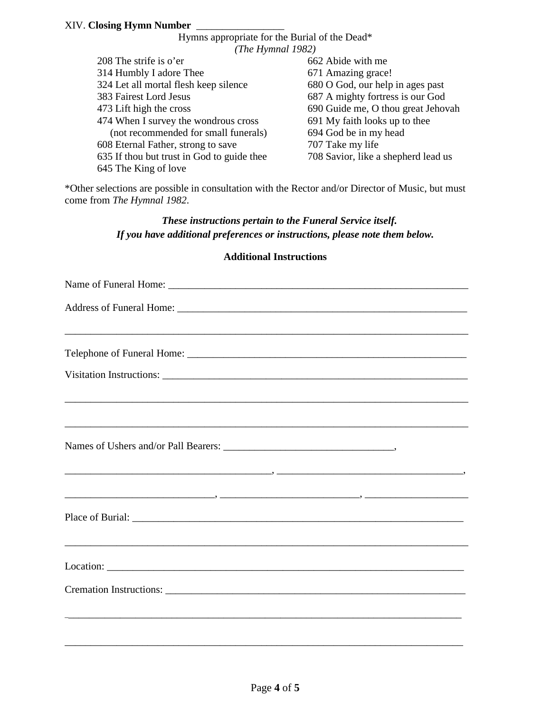| Hymns appropriate for the Burial of the Dead* |                                     |  |  |  |
|-----------------------------------------------|-------------------------------------|--|--|--|
| (The Hymnal $1982$ )                          |                                     |  |  |  |
| 208 The strife is o'er                        | 662 Abide with me                   |  |  |  |
| 314 Humbly I adore Thee                       | 671 Amazing grace!                  |  |  |  |
| 324 Let all mortal flesh keep silence         | 680 O God, our help in ages past    |  |  |  |
| 383 Fairest Lord Jesus                        | 687 A mighty fortress is our God    |  |  |  |
| 473 Lift high the cross                       | 690 Guide me, O thou great Jehovah  |  |  |  |
| 474 When I survey the wondrous cross          | 691 My faith looks up to thee       |  |  |  |
| (not recommended for small funerals)          | 694 God be in my head               |  |  |  |
| 608 Eternal Father, strong to save            | 707 Take my life                    |  |  |  |
| 635 If thou but trust in God to guide thee    | 708 Savior, like a shepherd lead us |  |  |  |
| 645 The King of love                          |                                     |  |  |  |

\*Other selections are possible in consultation with the Rector and/or Director of Music, but must come from *The Hymnal 1982*.

# *These instructions pertain to the Funeral Service itself. If you have additional preferences or instructions, please note them below.*

## **Additional Instructions**